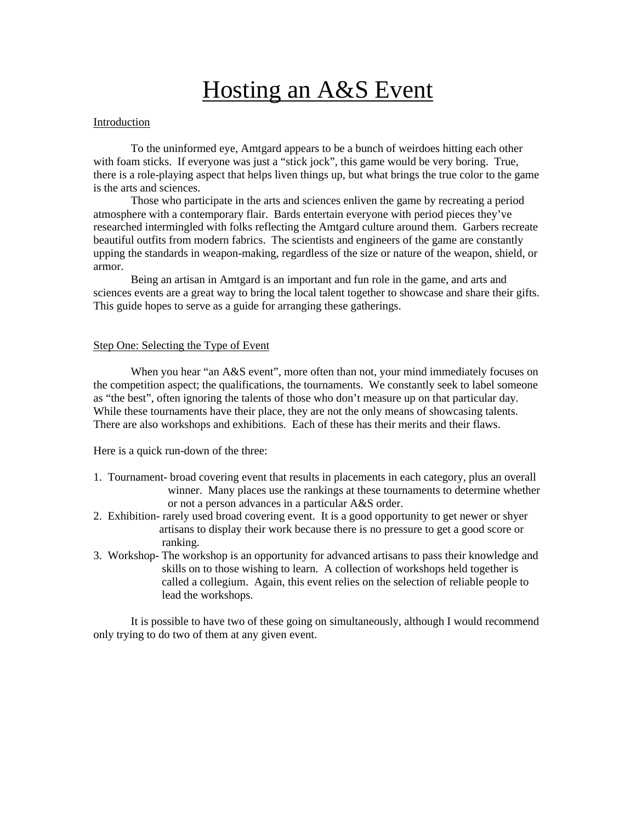# Hosting an A&S Event

# Introduction

To the uninformed eye, Amtgard appears to be a bunch of weirdoes hitting each other with foam sticks. If everyone was just a "stick jock", this game would be very boring. True, there is a role-playing aspect that helps liven things up, but what brings the true color to the game is the arts and sciences.

Those who participate in the arts and sciences enliven the game by recreating a period atmosphere with a contemporary flair. Bards entertain everyone with period pieces they've researched intermingled with folks reflecting the Amtgard culture around them. Garbers recreate beautiful outfits from modern fabrics. The scientists and engineers of the game are constantly upping the standards in weapon-making, regardless of the size or nature of the weapon, shield, or armor.

Being an artisan in Amtgard is an important and fun role in the game, and arts and sciences events are a great way to bring the local talent together to showcase and share their gifts. This guide hopes to serve as a guide for arranging these gatherings.

#### Step One: Selecting the Type of Event

When you hear "an A&S event", more often than not, your mind immediately focuses on the competition aspect; the qualifications, the tournaments. We constantly seek to label someone as "the best", often ignoring the talents of those who don't measure up on that particular day. While these tournaments have their place, they are not the only means of showcasing talents. There are also workshops and exhibitions. Each of these has their merits and their flaws.

Here is a quick run-down of the three:

- 1. Tournament- broad covering event that results in placements in each category, plus an overall winner. Many places use the rankings at these tournaments to determine whether or not a person advances in a particular A&S order.
- 2. Exhibition- rarely used broad covering event. It is a good opportunity to get newer or shyer artisans to display their work because there is no pressure to get a good score or ranking.
- 3. Workshop- The workshop is an opportunity for advanced artisans to pass their knowledge and skills on to those wishing to learn. A collection of workshops held together is called a collegium. Again, this event relies on the selection of reliable people to lead the workshops.

It is possible to have two of these going on simultaneously, although I would recommend only trying to do two of them at any given event.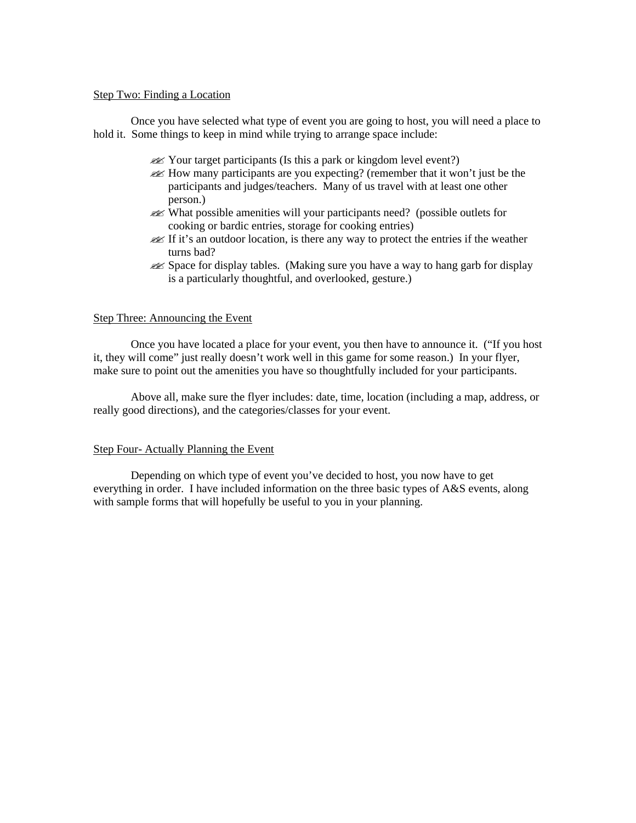# Step Two: Finding a Location

Once you have selected what type of event you are going to host, you will need a place to hold it. Some things to keep in mind while trying to arrange space include:

- $\mathcal{L}$  Your target participants (Is this a park or kingdom level event?)
- $\mathscr{A}$  How many participants are you expecting? (remember that it won't just be the participants and judges/teachers. Many of us travel with at least one other person.)
- ?? What possible amenities will your participants need? (possible outlets for cooking or bardic entries, storage for cooking entries)
- **EX** If it's an outdoor location, is there any way to protect the entries if the weather turns bad?
- $\ll$  Space for display tables. (Making sure you have a way to hang garb for display is a particularly thoughtful, and overlooked, gesture.)

#### Step Three: Announcing the Event

Once you have located a place for your event, you then have to announce it. ("If you host it, they will come" just really doesn't work well in this game for some reason.) In your flyer, make sure to point out the amenities you have so thoughtfully included for your participants.

Above all, make sure the flyer includes: date, time, location (including a map, address, or really good directions), and the categories/classes for your event.

# Step Four- Actually Planning the Event

Depending on which type of event you've decided to host, you now have to get everything in order. I have included information on the three basic types of A&S events, along with sample forms that will hopefully be useful to you in your planning.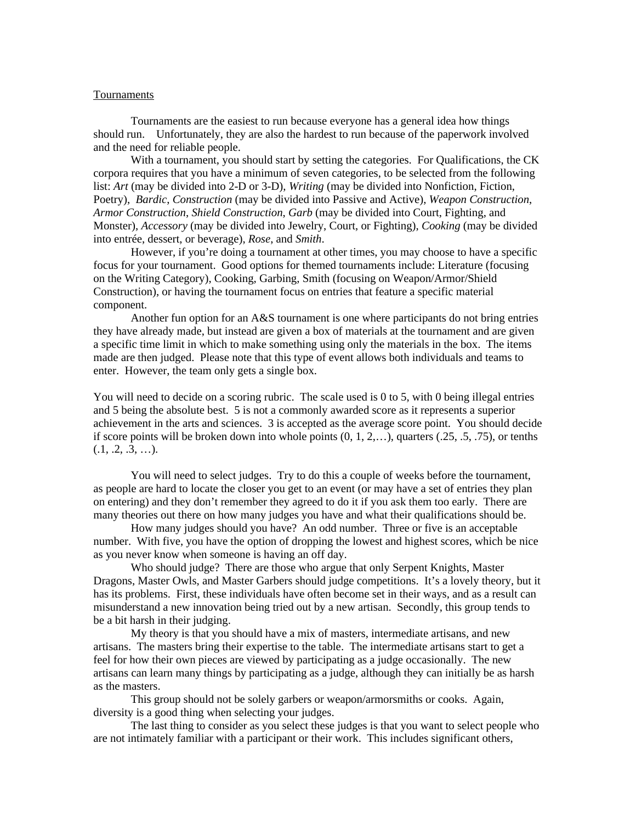#### Tournaments

Tournaments are the easiest to run because everyone has a general idea how things should run. Unfortunately, they are also the hardest to run because of the paperwork involved and the need for reliable people.

With a tournament, you should start by setting the categories. For Qualifications, the CK corpora requires that you have a minimum of seven categories, to be selected from the following list: *Art* (may be divided into 2-D or 3-D), *Writing* (may be divided into Nonfiction, Fiction, Poetry), *Bardic*, *Construction* (may be divided into Passive and Active), *Weapon Construction*, *Armor Construction*, *Shield Construction*, *Garb* (may be divided into Court, Fighting, and Monster), *Accessory* (may be divided into Jewelry, Court, or Fighting), *Cooking* (may be divided into entrée, dessert, or beverage), *Rose*, and *Smith*.

However, if you're doing a tournament at other times, you may choose to have a specific focus for your tournament. Good options for themed tournaments include: Literature (focusing on the Writing Category), Cooking, Garbing, Smith (focusing on Weapon/Armor/Shield Construction), or having the tournament focus on entries that feature a specific material component.

Another fun option for an A&S tournament is one where participants do not bring entries they have already made, but instead are given a box of materials at the tournament and are given a specific time limit in which to make something using only the materials in the box. The items made are then judged. Please note that this type of event allows both individuals and teams to enter. However, the team only gets a single box.

You will need to decide on a scoring rubric. The scale used is 0 to 5, with 0 being illegal entries and 5 being the absolute best. 5 is not a commonly awarded score as it represents a superior achievement in the arts and sciences. 3 is accepted as the average score point. You should decide if score points will be broken down into whole points  $(0, 1, 2, \ldots)$ , quarters  $(.25, .5, .75)$ , or tenths  $(0.1, 0.2, 0.3, ...)$ .

You will need to select judges. Try to do this a couple of weeks before the tournament, as people are hard to locate the closer you get to an event (or may have a set of entries they plan on entering) and they don't remember they agreed to do it if you ask them too early. There are many theories out there on how many judges you have and what their qualifications should be.

How many judges should you have? An odd number. Three or five is an acceptable number. With five, you have the option of dropping the lowest and highest scores, which be nice as you never know when someone is having an off day.

Who should judge? There are those who argue that only Serpent Knights, Master Dragons, Master Owls, and Master Garbers should judge competitions. It's a lovely theory, but it has its problems. First, these individuals have often become set in their ways, and as a result can misunderstand a new innovation being tried out by a new artisan. Secondly, this group tends to be a bit harsh in their judging.

My theory is that you should have a mix of masters, intermediate artisans, and new artisans. The masters bring their expertise to the table. The intermediate artisans start to get a feel for how their own pieces are viewed by participating as a judge occasionally. The new artisans can learn many things by participating as a judge, although they can initially be as harsh as the masters.

This group should not be solely garbers or weapon/armorsmiths or cooks. Again, diversity is a good thing when selecting your judges.

The last thing to consider as you select these judges is that you want to select people who are not intimately familiar with a participant or their work. This includes significant others,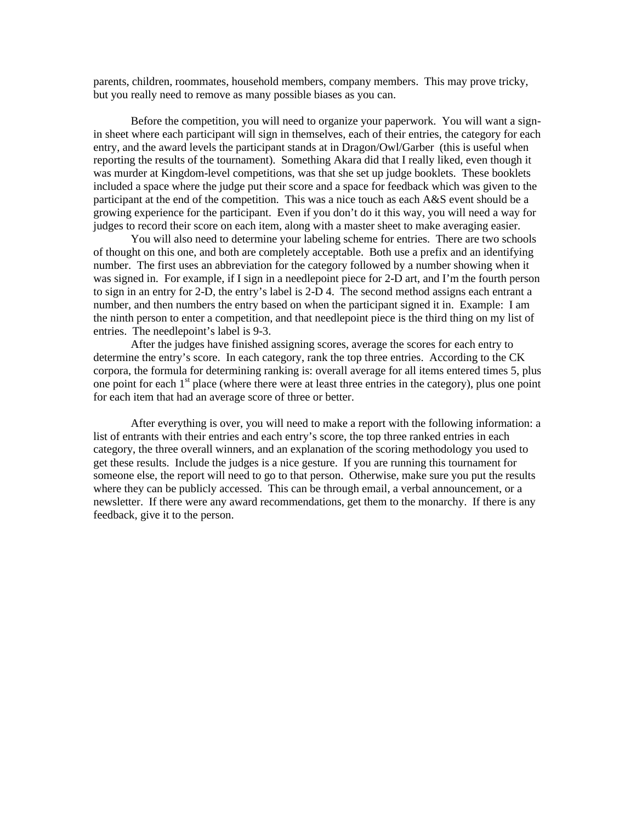parents, children, roommates, household members, company members. This may prove tricky, but you really need to remove as many possible biases as you can.

Before the competition, you will need to organize your paperwork. You will want a signin sheet where each participant will sign in themselves, each of their entries, the category for each entry, and the award levels the participant stands at in Dragon/Owl/Garber (this is useful when reporting the results of the tournament). Something Akara did that I really liked, even though it was murder at Kingdom-level competitions, was that she set up judge booklets. These booklets included a space where the judge put their score and a space for feedback which was given to the participant at the end of the competition. This was a nice touch as each A&S event should be a growing experience for the participant. Even if you don't do it this way, you will need a way for judges to record their score on each item, along with a master sheet to make averaging easier.

You will also need to determine your labeling scheme for entries. There are two schools of thought on this one, and both are completely acceptable. Both use a prefix and an identifying number. The first uses an abbreviation for the category followed by a number showing when it was signed in. For example, if I sign in a needlepoint piece for 2-D art, and I'm the fourth person to sign in an entry for 2-D, the entry's label is 2-D 4. The second method assigns each entrant a number, and then numbers the entry based on when the participant signed it in. Example: I am the ninth person to enter a competition, and that needlepoint piece is the third thing on my list of entries. The needlepoint's label is 9-3.

After the judges have finished assigning scores, average the scores for each entry to determine the entry's score. In each category, rank the top three entries. According to the CK corpora, the formula for determining ranking is: overall average for all items entered times 5, plus one point for each 1<sup>st</sup> place (where there were at least three entries in the category), plus one point for each item that had an average score of three or better.

After everything is over, you will need to make a report with the following information: a list of entrants with their entries and each entry's score, the top three ranked entries in each category, the three overall winners, and an explanation of the scoring methodology you used to get these results. Include the judges is a nice gesture. If you are running this tournament for someone else, the report will need to go to that person. Otherwise, make sure you put the results where they can be publicly accessed. This can be through email, a verbal announcement, or a newsletter. If there were any award recommendations, get them to the monarchy. If there is any feedback, give it to the person.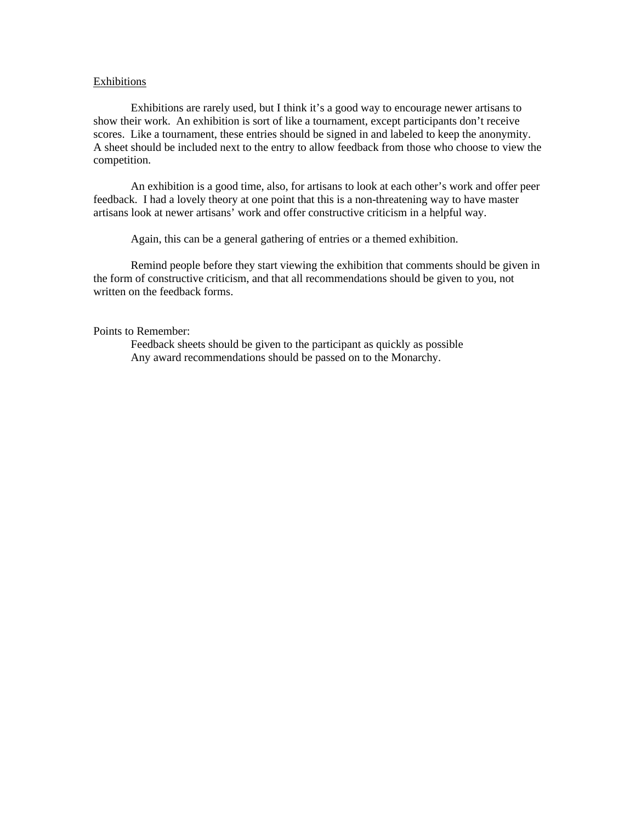#### Exhibitions

Exhibitions are rarely used, but I think it's a good way to encourage newer artisans to show their work. An exhibition is sort of like a tournament, except participants don't receive scores. Like a tournament, these entries should be signed in and labeled to keep the anonymity. A sheet should be included next to the entry to allow feedback from those who choose to view the competition.

An exhibition is a good time, also, for artisans to look at each other's work and offer peer feedback. I had a lovely theory at one point that this is a non-threatening way to have master artisans look at newer artisans' work and offer constructive criticism in a helpful way.

Again, this can be a general gathering of entries or a themed exhibition.

Remind people before they start viewing the exhibition that comments should be given in the form of constructive criticism, and that all recommendations should be given to you, not written on the feedback forms.

Points to Remember:

Feedback sheets should be given to the participant as quickly as possible Any award recommendations should be passed on to the Monarchy.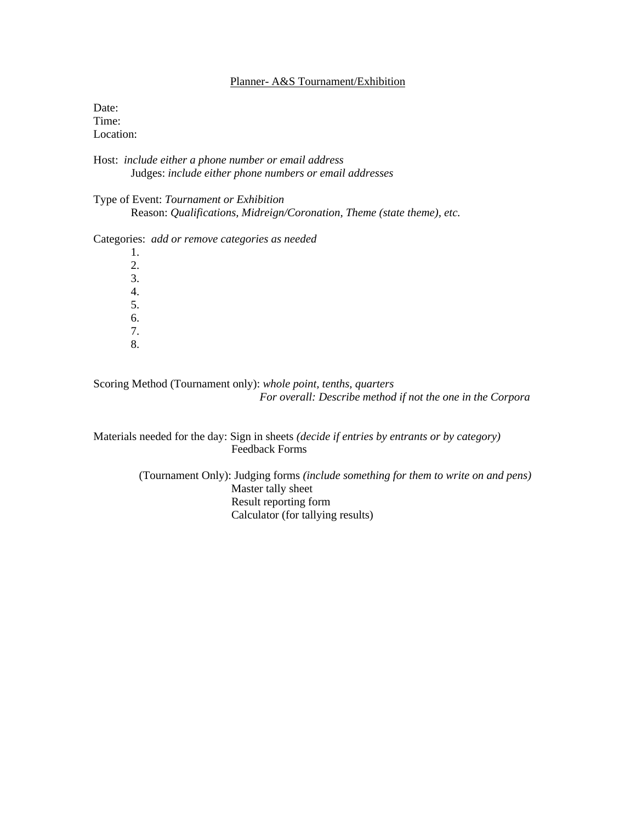# Planner- A&S Tournament/Exhibition

Date: Time: Location:

Host: *include either a phone number or email address* Judges: *include either phone numbers or email addresses*

Type of Event: *Tournament or Exhibition* Reason: *Qualifications, Midreign/Coronation, Theme (state theme), etc.*

Categories: *add or remove categories as needed*

1. 2. 3. 4. 5. 6. 7. 8.

Scoring Method (Tournament only): *whole point, tenths, quarters For overall: Describe method if not the one in the Corpora*

Materials needed for the day: Sign in sheets *(decide if entries by entrants or by category)* Feedback Forms

> (Tournament Only): Judging forms *(include something for them to write on and pens)* Master tally sheet Result reporting form Calculator (for tallying results)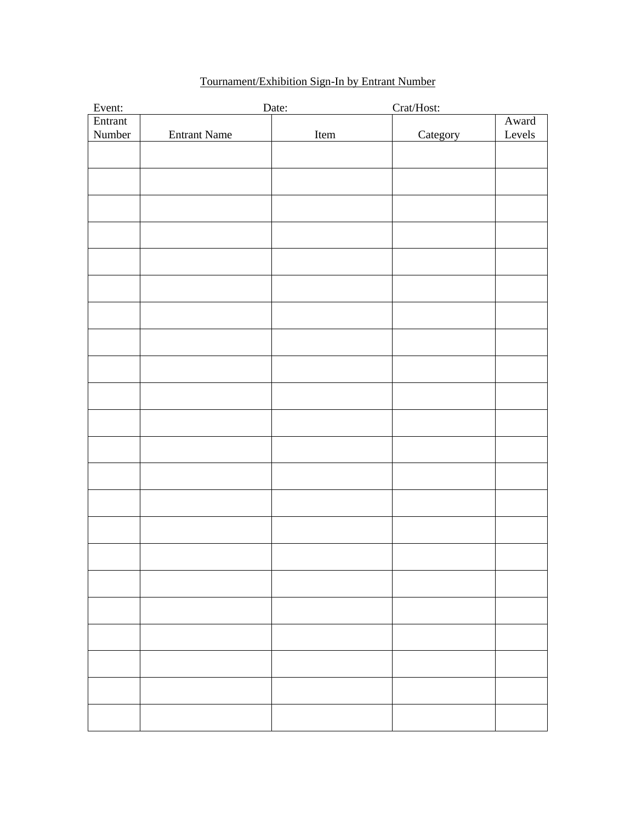| Event:  |                     | Date: | Crat/Host: |        |
|---------|---------------------|-------|------------|--------|
| Entrant |                     |       |            | Award  |
| Number  | <b>Entrant Name</b> | Item  | Category   | Levels |
|         |                     |       |            |        |
|         |                     |       |            |        |
|         |                     |       |            |        |
|         |                     |       |            |        |
|         |                     |       |            |        |
|         |                     |       |            |        |
|         |                     |       |            |        |
|         |                     |       |            |        |
|         |                     |       |            |        |
|         |                     |       |            |        |
|         |                     |       |            |        |
|         |                     |       |            |        |
|         |                     |       |            |        |
|         |                     |       |            |        |
|         |                     |       |            |        |
|         |                     |       |            |        |
|         |                     |       |            |        |
|         |                     |       |            |        |
|         |                     |       |            |        |
|         |                     |       |            |        |
|         |                     |       |            |        |
|         |                     |       |            |        |
|         |                     |       |            |        |
|         |                     |       |            |        |
|         |                     |       |            |        |
|         |                     |       |            |        |
|         |                     |       |            |        |
|         |                     |       |            |        |
|         |                     |       |            |        |
|         |                     |       |            |        |
|         |                     |       |            |        |
|         |                     |       |            |        |
|         |                     |       |            |        |
|         |                     |       |            |        |
|         |                     |       |            |        |
|         |                     |       |            |        |
|         |                     |       |            |        |
|         |                     |       |            |        |
|         |                     |       |            |        |

# Tournament/Exhibition Sign-In by Entrant Number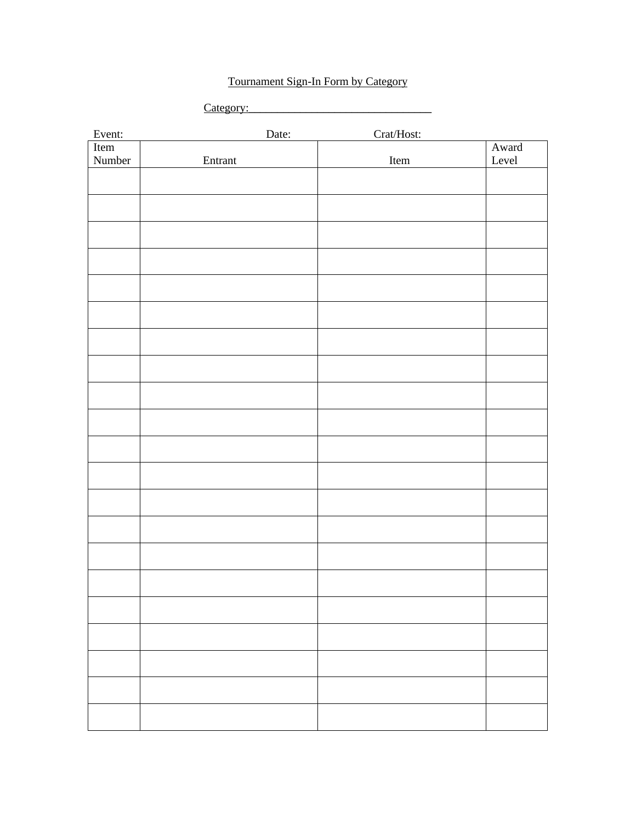# Tournament Sign-In Form by Category

| `ate¤orv∙<br>. |  |
|----------------|--|
|                |  |

| Event: | Date:                 | Crat/Host: |       |
|--------|-----------------------|------------|-------|
| Item   |                       |            | Award |
| Number | ${\small\bf Entrant}$ | Item       | Level |
|        |                       |            |       |
|        |                       |            |       |
|        |                       |            |       |
|        |                       |            |       |
|        |                       |            |       |
|        |                       |            |       |
|        |                       |            |       |
|        |                       |            |       |
|        |                       |            |       |
|        |                       |            |       |
|        |                       |            |       |
|        |                       |            |       |
|        |                       |            |       |
|        |                       |            |       |
|        |                       |            |       |
|        |                       |            |       |
|        |                       |            |       |
|        |                       |            |       |
|        |                       |            |       |
|        |                       |            |       |
|        |                       |            |       |
|        |                       |            |       |
|        |                       |            |       |
|        |                       |            |       |
|        |                       |            |       |
|        |                       |            |       |
|        |                       |            |       |
|        |                       |            |       |
|        |                       |            |       |
|        |                       |            |       |
|        |                       |            |       |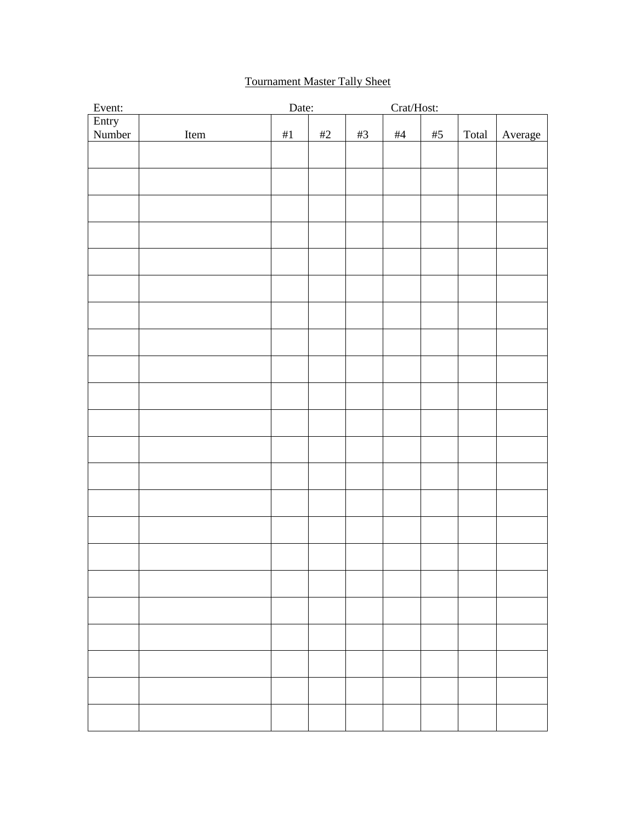# Tournament Master Tally Sheet

| Event:          |      | Date: |      |       | $\operatorname{Crat}/\operatorname{Host:}$ |       |       |         |
|-----------------|------|-------|------|-------|--------------------------------------------|-------|-------|---------|
| Entry<br>Number |      |       |      |       |                                            |       |       |         |
|                 | Item | $\#1$ | $#2$ | $\#3$ | #4                                         | $\#5$ | Total | Average |
|                 |      |       |      |       |                                            |       |       |         |
|                 |      |       |      |       |                                            |       |       |         |
|                 |      |       |      |       |                                            |       |       |         |
|                 |      |       |      |       |                                            |       |       |         |
|                 |      |       |      |       |                                            |       |       |         |
|                 |      |       |      |       |                                            |       |       |         |
|                 |      |       |      |       |                                            |       |       |         |
|                 |      |       |      |       |                                            |       |       |         |
|                 |      |       |      |       |                                            |       |       |         |
|                 |      |       |      |       |                                            |       |       |         |
|                 |      |       |      |       |                                            |       |       |         |
|                 |      |       |      |       |                                            |       |       |         |
|                 |      |       |      |       |                                            |       |       |         |
|                 |      |       |      |       |                                            |       |       |         |
|                 |      |       |      |       |                                            |       |       |         |
|                 |      |       |      |       |                                            |       |       |         |
|                 |      |       |      |       |                                            |       |       |         |
|                 |      |       |      |       |                                            |       |       |         |
|                 |      |       |      |       |                                            |       |       |         |
|                 |      |       |      |       |                                            |       |       |         |
|                 |      |       |      |       |                                            |       |       |         |
|                 |      |       |      |       |                                            |       |       |         |
|                 |      |       |      |       |                                            |       |       |         |
|                 |      |       |      |       |                                            |       |       |         |
|                 |      |       |      |       |                                            |       |       |         |
|                 |      |       |      |       |                                            |       |       |         |
|                 |      |       |      |       |                                            |       |       |         |
|                 |      |       |      |       |                                            |       |       |         |
|                 |      |       |      |       |                                            |       |       |         |
|                 |      |       |      |       |                                            |       |       |         |
|                 |      |       |      |       |                                            |       |       |         |
|                 |      |       |      |       |                                            |       |       |         |
|                 |      |       |      |       |                                            |       |       |         |
|                 |      |       |      |       |                                            |       |       |         |
|                 |      |       |      |       |                                            |       |       |         |
|                 |      |       |      |       |                                            |       |       |         |
|                 |      |       |      |       |                                            |       |       |         |
|                 |      |       |      |       |                                            |       |       |         |
|                 |      |       |      |       |                                            |       |       |         |
|                 |      |       |      |       |                                            |       |       |         |
|                 |      |       |      |       |                                            |       |       |         |
|                 |      |       |      |       |                                            |       |       |         |
|                 |      |       |      |       |                                            |       |       |         |
|                 |      |       |      |       |                                            |       |       |         |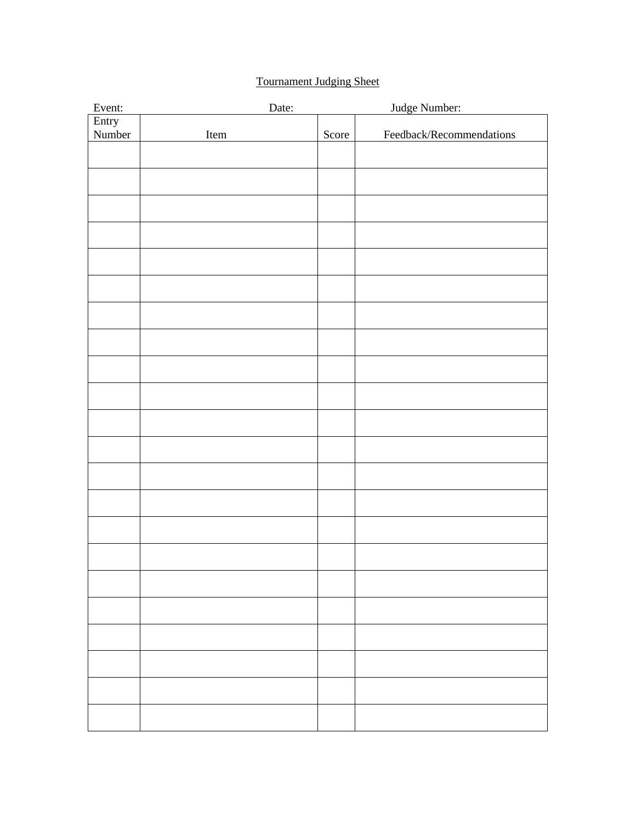# Tournament Judging Sheet

| Event: | Date: |       | Judge Number:            |
|--------|-------|-------|--------------------------|
| Entry  |       |       |                          |
| Number | Item  | Score | Feedback/Recommendations |
|        |       |       |                          |
|        |       |       |                          |
|        |       |       |                          |
|        |       |       |                          |
|        |       |       |                          |
|        |       |       |                          |
|        |       |       |                          |
|        |       |       |                          |
|        |       |       |                          |
|        |       |       |                          |
|        |       |       |                          |
|        |       |       |                          |
|        |       |       |                          |
|        |       |       |                          |
|        |       |       |                          |
|        |       |       |                          |
|        |       |       |                          |
|        |       |       |                          |
|        |       |       |                          |
|        |       |       |                          |
|        |       |       |                          |
|        |       |       |                          |
|        |       |       |                          |
|        |       |       |                          |
|        |       |       |                          |
|        |       |       |                          |
|        |       |       |                          |
|        |       |       |                          |
|        |       |       |                          |
|        |       |       |                          |
|        |       |       |                          |
|        |       |       |                          |
|        |       |       |                          |
|        |       |       |                          |
|        |       |       |                          |
|        |       |       |                          |
|        |       |       |                          |
|        |       |       |                          |
|        |       |       |                          |
|        |       |       |                          |
|        |       |       |                          |
|        |       |       |                          |
|        |       |       |                          |
|        |       |       |                          |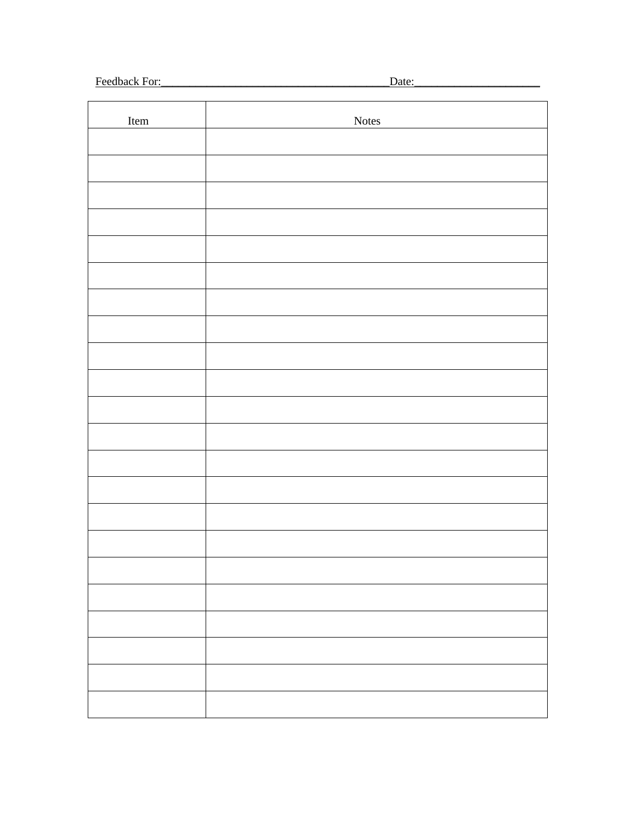Feedback For: The Second Second Second Second Second Second Second Second Second Second Second Second Second Second Second Second Second Second Second Second Second Second Second Second Second Second Second Second Second S

Date:

| Item | Notes |
|------|-------|
|      |       |
|      |       |
|      |       |
|      |       |
|      |       |
|      |       |
|      |       |
|      |       |
|      |       |
|      |       |
|      |       |
|      |       |
|      |       |
|      |       |
|      |       |
|      |       |
|      |       |
|      |       |
|      |       |
|      |       |
|      |       |
|      |       |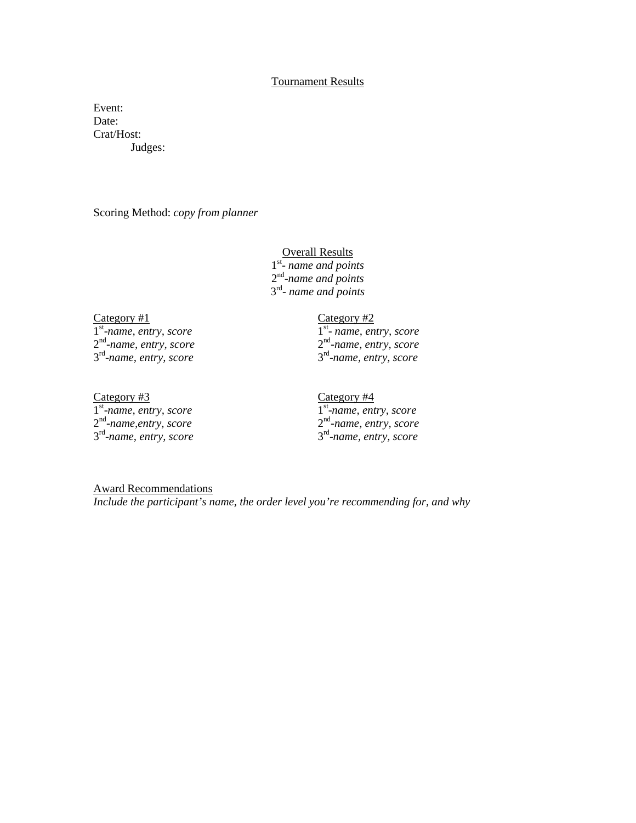# Tournament Results

Event: Date: Crat/Host: Judges:

Scoring Method: *copy from planner*

# **Overall Results** 1 st - *name and points* 2 nd -*name and points*

3 rd - *name and points*

# Category #1 Category #2

1 st -*name, entry, score* 1 2 nd -*name, entry, score* 2 3 rd -*name, entry, score* 3

Category #3 Category #4 st -*name, entry, score* 1 nd -*name,entry, score* 2 rd -*name, entry, score* 3

st - *name, entry, score* nd -*name, entry, score* rd -*name, entry, score*

# st -*name, entry, score* nd -*name, entry, score* rd -*name, entry, score*

Award Recommendations *Include the participant's name, the order level you're recommending for, and why*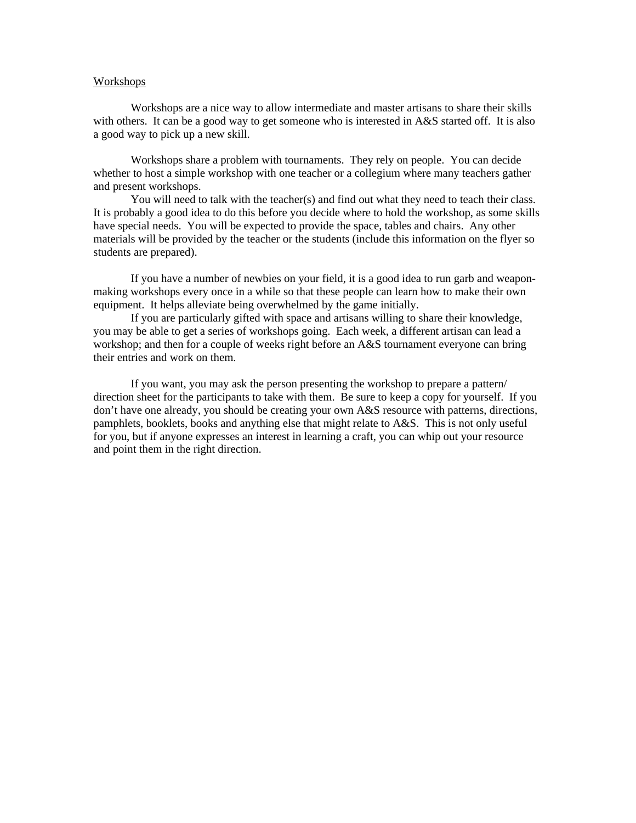#### Workshops

Workshops are a nice way to allow intermediate and master artisans to share their skills with others. It can be a good way to get someone who is interested in A&S started off. It is also a good way to pick up a new skill.

Workshops share a problem with tournaments. They rely on people. You can decide whether to host a simple workshop with one teacher or a collegium where many teachers gather and present workshops.

You will need to talk with the teacher(s) and find out what they need to teach their class. It is probably a good idea to do this before you decide where to hold the workshop, as some skills have special needs. You will be expected to provide the space, tables and chairs. Any other materials will be provided by the teacher or the students (include this information on the flyer so students are prepared).

If you have a number of newbies on your field, it is a good idea to run garb and weaponmaking workshops every once in a while so that these people can learn how to make their own equipment. It helps alleviate being overwhelmed by the game initially.

If you are particularly gifted with space and artisans willing to share their knowledge, you may be able to get a series of workshops going. Each week, a different artisan can lead a workshop; and then for a couple of weeks right before an A&S tournament everyone can bring their entries and work on them.

If you want, you may ask the person presenting the workshop to prepare a pattern/ direction sheet for the participants to take with them. Be sure to keep a copy for yourself. If you don't have one already, you should be creating your own A&S resource with patterns, directions, pamphlets, booklets, books and anything else that might relate to A&S. This is not only useful for you, but if anyone expresses an interest in learning a craft, you can whip out your resource and point them in the right direction.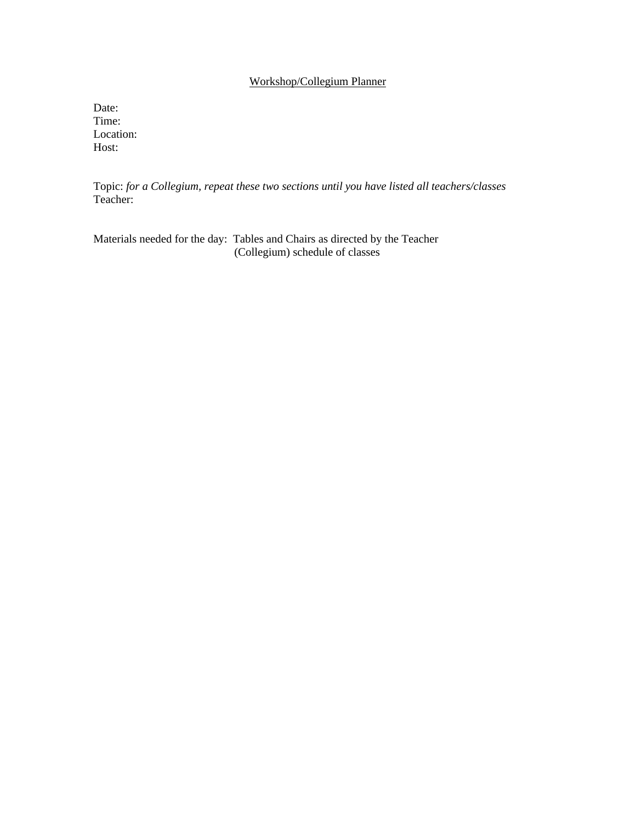# Workshop/Collegium Planner

Date: Time: Location: Host:

Topic: *for a Collegium, repeat these two sections until you have listed all teachers/classes* Teacher:

Materials needed for the day: Tables and Chairs as directed by the Teacher (Collegium) schedule of classes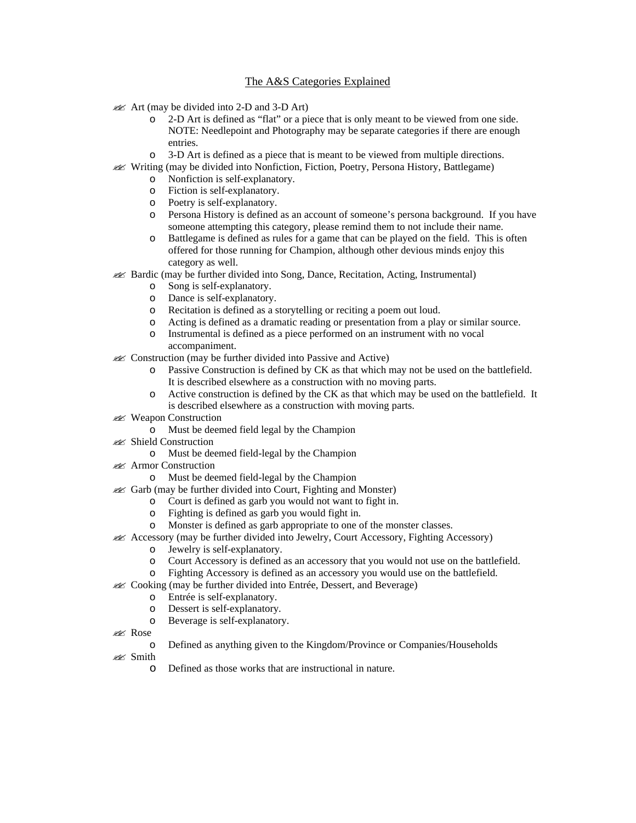# The A&S Categories Explained

- $\mathcal{L}$  Art (may be divided into 2-D and 3-D Art)
	- o 2-D Art is defined as "flat" or a piece that is only meant to be viewed from one side. NOTE: Needlepoint and Photography may be separate categories if there are enough entries.
	- o 3-D Art is defined as a piece that is meant to be viewed from multiple directions.
- ?? Writing (may be divided into Nonfiction, Fiction, Poetry, Persona History, Battlegame)
	- o Nonfiction is self-explanatory.
	- o Fiction is self-explanatory.
	- o Poetry is self-explanatory.
	- o Persona History is defined as an account of someone's persona background. If you have someone attempting this category, please remind them to not include their name.
	- o Battlegame is defined as rules for a game that can be played on the field. This is often offered for those running for Champion, although other devious minds enjoy this category as well.
- ?? Bardic (may be further divided into Song, Dance, Recitation, Acting, Instrumental)
	- o Song is self-explanatory.
	- o Dance is self-explanatory.
	- o Recitation is defined as a storytelling or reciting a poem out loud.
	- o Acting is defined as a dramatic reading or presentation from a play or similar source.
	- o Instrumental is defined as a piece performed on an instrument with no vocal
	- accompaniment.
- **EX** Construction (may be further divided into Passive and Active)
	- o Passive Construction is defined by CK as that which may not be used on the battlefield. It is described elsewhere as a construction with no moving parts.
	- o Active construction is defined by the CK as that which may be used on the battlefield. It is described elsewhere as a construction with moving parts.
- **225** Weapon Construction
	- o Must be deemed field legal by the Champion
- ?? Shield Construction
	- o Must be deemed field-legal by the Champion
- 226 Armor Construction
	- o Must be deemed field-legal by the Champion
- $\lll$  Garb (may be further divided into Court, Fighting and Monster)
	- o Court is defined as garb you would not want to fight in.
	- o Fighting is defined as garb you would fight in.
	- o Monster is defined as garb appropriate to one of the monster classes.
- $\ll$  Accessory (may be further divided into Jewelry, Court Accessory, Fighting Accessory)
	- o Jewelry is self-explanatory.
	- o Court Accessory is defined as an accessory that you would not use on the battlefield.
	- o Fighting Accessory is defined as an accessory you would use on the battlefield.
- $\mathcal{L}$  Cooking (may be further divided into Entrée, Dessert, and Beverage)
	- o Entrée is self-explanatory.
	- o Dessert is self-explanatory.
	- o Beverage is self-explanatory.
- ?? Rose
	- o Defined as anything given to the Kingdom/Province or Companies/Households
- 22 Smith
	- o Defined as those works that are instructional in nature.